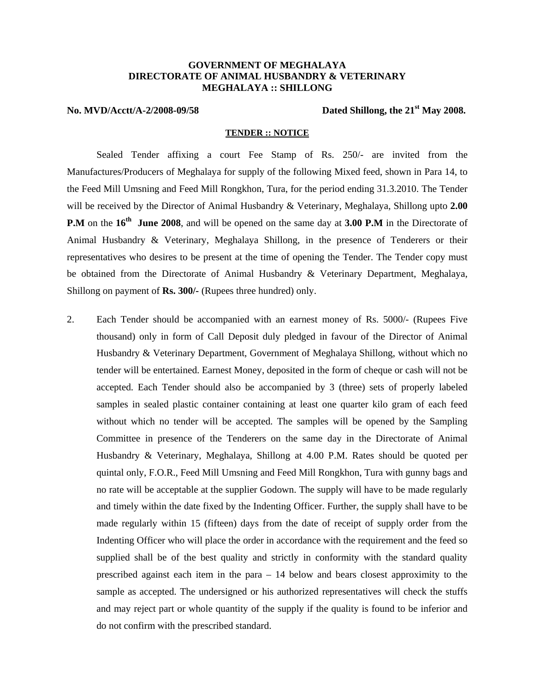# **GOVERNMENT OF MEGHALAYA DIRECTORATE OF ANIMAL HUSBANDRY & VETERINARY MEGHALAYA :: SHILLONG**

# **No. MVD/Acctt/A-2/2008-09/58 Dated Shillong, the 21st May 2008.**

### **TENDER :: NOTICE**

 the Feed Mill Umsning and Feed Mill Rongkhon, Tura, for the period ending 31.3.2010. The Tender **P.M** on the 16<sup>th</sup> June 2008, and will be opened on the same day at 3.00 P.M in the Directorate of Sealed Tender affixing a court Fee Stamp of Rs. 250/- are invited from the Manufactures/Producers of Meghalaya for supply of the following Mixed feed, shown in Para 14, to will be received by the Director of Animal Husbandry & Veterinary, Meghalaya, Shillong upto **2.00**  Animal Husbandry & Veterinary, Meghalaya Shillong, in the presence of Tenderers or their representatives who desires to be present at the time of opening the Tender. The Tender copy must be obtained from the Directorate of Animal Husbandry & Veterinary Department, Meghalaya, Shillong on payment of **Rs. 300/-** (Rupees three hundred) only.

 tender will be entertained. Earnest Money, deposited in the form of cheque or cash will not be accepted. Each Tender should also be accompanied by 3 (three) sets of properly labeled samples in sealed plastic container containing at least one quarter kilo gram of each feed quintal only, F.O.R., Feed Mill Umsning and Feed Mill Rongkhon, Tura with gunny bags and and timely within the date fixed by the Indenting Officer. Further, the supply shall have to be supplied shall be of the best quality and strictly in conformity with the standard quality prescribed against each item in the para – 14 below and bears closest approximity to the and may reject part or whole quantity of the supply if the quality is found to be inferior and 2. Each Tender should be accompanied with an earnest money of Rs. 5000/- (Rupees Five thousand) only in form of Call Deposit duly pledged in favour of the Director of Animal Husbandry & Veterinary Department, Government of Meghalaya Shillong, without which no without which no tender will be accepted. The samples will be opened by the Sampling Committee in presence of the Tenderers on the same day in the Directorate of Animal Husbandry & Veterinary, Meghalaya, Shillong at 4.00 P.M. Rates should be quoted per no rate will be acceptable at the supplier Godown. The supply will have to be made regularly made regularly within 15 (fifteen) days from the date of receipt of supply order from the Indenting Officer who will place the order in accordance with the requirement and the feed so sample as accepted. The undersigned or his authorized representatives will check the stuffs do not confirm with the prescribed standard.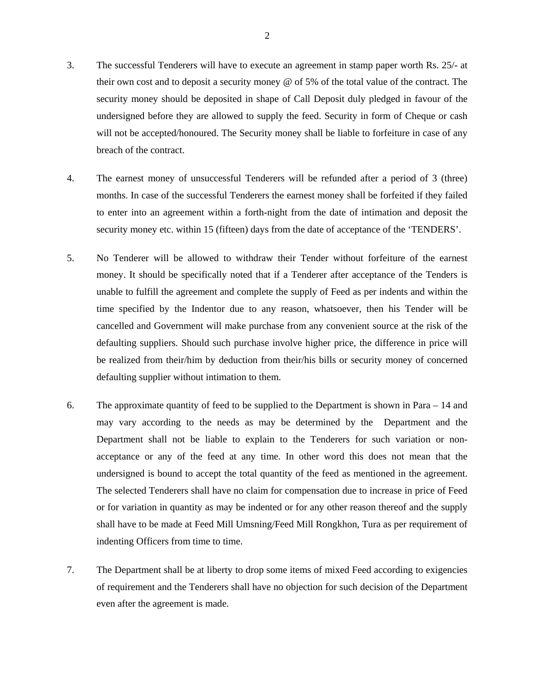- security money should be deposited in shape of Call Deposit duly pledged in favour of the undersigned before they are allowed to supply the feed. Security in form of Cheque or cash will not be accepted/honoured. The Security money shall be liable to forfeiture in case of any 3. The successful Tenderers will have to execute an agreement in stamp paper worth Rs. 25/- at their own cost and to deposit a security money @ of 5% of the total value of the contract. The breach of the contract.
- 4. The earnest money of unsuccessful Tenderers will be refunded after a period of 3 (three) months. In case of the successful Tenderers the earnest money shall be forfeited if they failed to enter into an agreement within a forth-night from the date of intimation and deposit the security money etc. within 15 (fifteen) days from the date of acceptance of the 'TENDERS'.
- money. It should be specifically noted that if a Tenderer after acceptance of the Tenders is cancelled and Government will make purchase from any convenient source at the risk of the be realized from their/him by deduction from their/his bills or security money of concerned 5. No Tenderer will be allowed to withdraw their Tender without forfeiture of the earnest unable to fulfill the agreement and complete the supply of Feed as per indents and within the time specified by the Indentor due to any reason, whatsoever, then his Tender will be defaulting suppliers. Should such purchase involve higher price, the difference in price will defaulting supplier without intimation to them.
- 6. The approximate quantity of feed to be supplied to the Department is shown in Para 14 and may vary according to the needs as may be determined by the Department and the undersigned is bound to accept the total quantity of the feed as mentioned in the agreement. Department shall not be liable to explain to the Tenderers for such variation or nonacceptance or any of the feed at any time. In other word this does not mean that the The selected Tenderers shall have no claim for compensation due to increase in price of Feed or for variation in quantity as may be indented or for any other reason thereof and the supply shall have to be made at Feed Mill Umsning/Feed Mill Rongkhon, Tura as per requirement of indenting Officers from time to time.
- 7. The Department shall be at liberty to drop some items of mixed Feed according to exigencies of requirement and the Tenderers shall have no objection for such decision of the Department even after the agreement is made.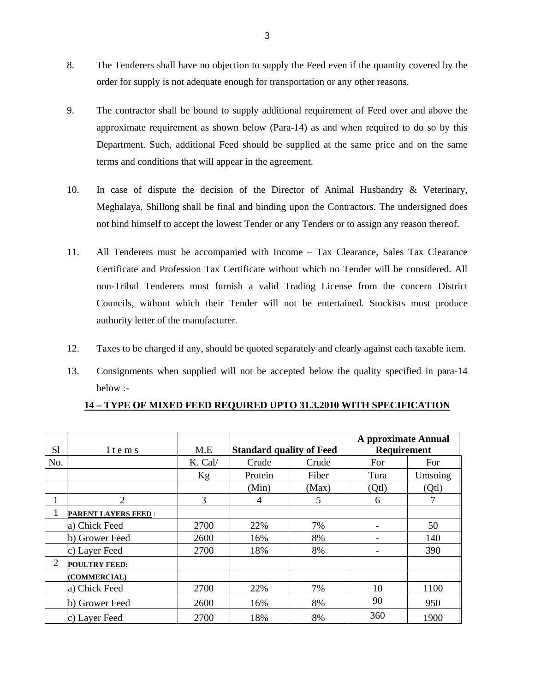- 8. The Tenderers shall have no objection to supply the Feed even if the quantity covered by the order for supply is not adequate enough for transportation or any other reasons.
- approximate requirement as shown below (Para-14) as and when required to do so by this Department. Such, additional Feed should be supplied at the same price and on the same terms and conditions that will appear in the agreement. 9. The contractor shall be bound to supply additional requirement of Feed over and above the
- 10. In case of dispute the decision of the Director of Animal Husbandry & Veterinary, Meghalaya, Shillong shall be final and binding upon the Contractors. The undersigned does not bind himself to accept the lowest Tender or any Tenders or to assign any reason thereof.
- Councils, without which their Tender will not be entertained. Stockists must produce 11. All Tenderers must be accompanied with Income - Tax Clearance, Sales Tax Clearance Certificate and Profession Tax Certificate without which no Tender will be considered. All non-Tribal Tenderers must furnish a valid Trading License from the concern District authority letter of the manufacturer.
- 12. Taxes to be charged if any, should be quoted separately and clearly against each taxable item.
- 13. Consignments when supplied will not be accepted below the quality specified in para-14 below :-

|     |                            |         |                                 |       | <b>A pproximate Annual</b> |         |
|-----|----------------------------|---------|---------------------------------|-------|----------------------------|---------|
| S1  | Items                      | M.E     | <b>Standard quality of Feed</b> |       | <b>Requirement</b>         |         |
| No. |                            | K. Cal/ | Crude                           | Crude | For.                       | For     |
|     |                            | Kg      | Protein                         | Fiber | Tura                       | Umsning |
|     |                            |         | (Min)                           | (Max) | (Qt)                       | (Qt)    |
|     | $\overline{2}$             | 3       | 4                               | 5     | 6                          |         |
|     | <b>PARENT LAYERS FEED:</b> |         |                                 |       |                            |         |
|     | a) Chick Feed              | 2700    | 22%                             | 7%    |                            | 50      |
|     | b) Grower Feed             | 2600    | 16%                             | 8%    |                            | 140     |
|     | c) Layer Feed              | 2700    | 18%                             | 8%    |                            | 390     |
| 2   | <b>POULTRY FEED:</b>       |         |                                 |       |                            |         |
|     | (COMMERCIAL)               |         |                                 |       |                            |         |
|     | a) Chick Feed              | 2700    | 22%                             | 7%    | 10                         | 1100    |
|     | b) Grower Feed             | 2600    | 16%                             | 8%    | 90                         | 950     |
|     | c) Layer Feed              | 2700    | 18%                             | 8%    | 360                        | 1900    |

# **14 – TYPE OF MIXED FEED REQUIRED UPTO 31.3.2010 WITH SPECIFICATION**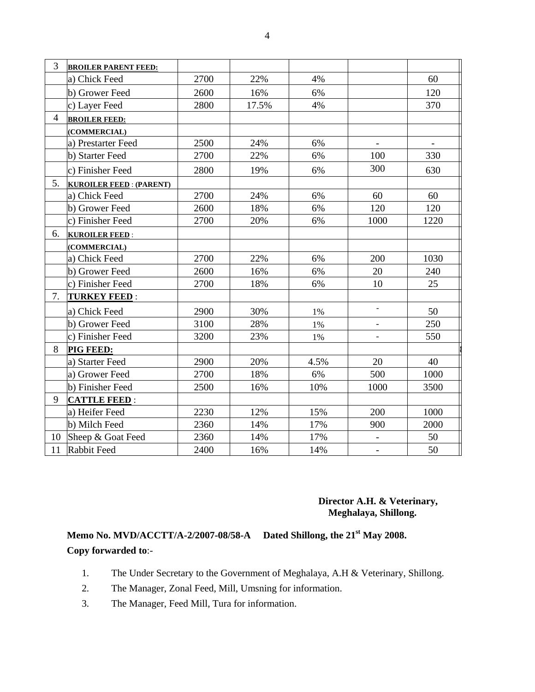| 3              | <b>BROILER PARENT FEED:</b>    |      |       |      |                          |      |
|----------------|--------------------------------|------|-------|------|--------------------------|------|
|                | a) Chick Feed                  | 2700 | 22%   | 4%   |                          | 60   |
|                | b) Grower Feed                 | 2600 | 16%   | 6%   |                          | 120  |
|                | c) Layer Feed                  | 2800 | 17.5% | 4%   |                          | 370  |
| $\overline{4}$ | <b>BROILER FEED:</b>           |      |       |      |                          |      |
|                | (COMMERCIAL)                   |      |       |      |                          |      |
|                | a) Prestarter Feed             | 2500 | 24%   | 6%   |                          |      |
|                | b) Starter Feed                | 2700 | 22%   | 6%   | 100                      | 330  |
|                | c) Finisher Feed               | 2800 | 19%   | 6%   | 300                      | 630  |
| 5.             | <b>KUROILER FEED: (PARENT)</b> |      |       |      |                          |      |
|                | a) Chick Feed                  | 2700 | 24%   | 6%   | 60                       | 60   |
|                | b) Grower Feed                 | 2600 | 18%   | 6%   | 120                      | 120  |
|                | c) Finisher Feed               | 2700 | 20%   | 6%   | 1000                     | 1220 |
| 6.             | <b>KUROILER FEED:</b>          |      |       |      |                          |      |
|                | (COMMERCIAL)                   |      |       |      |                          |      |
|                | a) Chick Feed                  | 2700 | 22%   | 6%   | 200                      | 1030 |
|                | b) Grower Feed                 | 2600 | 16%   | 6%   | 20                       | 240  |
|                | c) Finisher Feed               | 2700 | 18%   | 6%   | 10                       | 25   |
| 7.             | <b>TURKEY FEED:</b>            |      |       |      |                          |      |
|                | a) Chick Feed                  | 2900 | 30%   | 1%   | $\overline{a}$           | 50   |
|                | b) Grower Feed                 | 3100 | 28%   | 1%   |                          | 250  |
|                | c) Finisher Feed               | 3200 | 23%   | 1%   | $\frac{1}{2}$            | 550  |
| 8              | <b>PIG FEED:</b>               |      |       |      |                          |      |
|                | a) Starter Feed                | 2900 | 20%   | 4.5% | 20                       | 40   |
|                | a) Grower Feed                 | 2700 | 18%   | 6%   | 500                      | 1000 |
|                | b) Finisher Feed               | 2500 | 16%   | 10%  | 1000                     | 3500 |
| 9              | <b>CATTLE FEED:</b>            |      |       |      |                          |      |
|                | a) Heifer Feed                 | 2230 | 12%   | 15%  | 200                      | 1000 |
|                | b) Milch Feed                  | 2360 | 14%   | 17%  | 900                      | 2000 |
| 10             | Sheep & Goat Feed              | 2360 | 14%   | 17%  | $\overline{\phantom{a}}$ | 50   |
| 11             | Rabbit Feed                    | 2400 | 16%   | 14%  |                          | 50   |

# **Director A.H. & Veterinary, Meghalaya, Shillong.**

# Memo No. MVD/ACCTT/A-2/2007-08/58-A Dated Shillong, the 21<sup>st</sup> May 2008. **Copy forwarded to**:-

- 1. The Under Secretary to the Government of Meghalaya, A.H & Veterinary, Shillong.
- 2. The Manager, Zonal Feed, Mill, Umsning for information.
- 3. The Manager, Feed Mill, Tura for information.